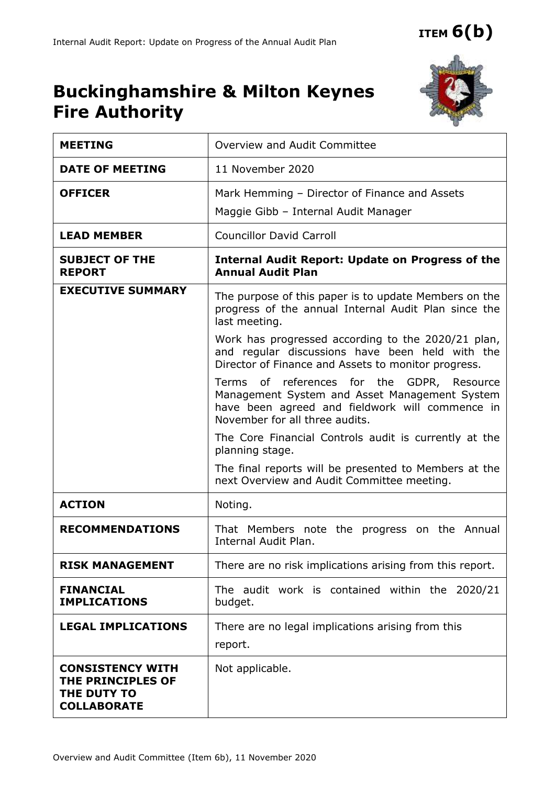## **Buckinghamshire & Milton Keynes Fire Authority**



| <b>MEETING</b>                                                                           | Overview and Audit Committee                                                                                                                                                     |  |  |  |
|------------------------------------------------------------------------------------------|----------------------------------------------------------------------------------------------------------------------------------------------------------------------------------|--|--|--|
| <b>DATE OF MEETING</b>                                                                   | 11 November 2020                                                                                                                                                                 |  |  |  |
| <b>OFFICER</b>                                                                           | Mark Hemming - Director of Finance and Assets<br>Maggie Gibb - Internal Audit Manager                                                                                            |  |  |  |
| <b>LEAD MEMBER</b>                                                                       | <b>Councillor David Carroll</b>                                                                                                                                                  |  |  |  |
| <b>SUBJECT OF THE</b><br><b>REPORT</b>                                                   | <b>Internal Audit Report: Update on Progress of the</b><br><b>Annual Audit Plan</b>                                                                                              |  |  |  |
| <b>EXECUTIVE SUMMARY</b>                                                                 | The purpose of this paper is to update Members on the<br>progress of the annual Internal Audit Plan since the<br>last meeting.                                                   |  |  |  |
|                                                                                          | Work has progressed according to the 2020/21 plan,<br>and regular discussions have been held with the<br>Director of Finance and Assets to monitor progress.                     |  |  |  |
|                                                                                          | Terms of references for the GDPR, Resource<br>Management System and Asset Management System<br>have been agreed and fieldwork will commence in<br>November for all three audits. |  |  |  |
|                                                                                          | The Core Financial Controls audit is currently at the<br>planning stage.                                                                                                         |  |  |  |
|                                                                                          | The final reports will be presented to Members at the<br>next Overview and Audit Committee meeting.                                                                              |  |  |  |
| <b>ACTION</b>                                                                            | Noting.                                                                                                                                                                          |  |  |  |
| <b>RECOMMENDATIONS</b>                                                                   | That Members note the progress on the Annual<br>Internal Audit Plan.                                                                                                             |  |  |  |
| <b>RISK MANAGEMENT</b>                                                                   | There are no risk implications arising from this report.                                                                                                                         |  |  |  |
| <b>FINANCIAL</b><br><b>IMPLICATIONS</b>                                                  | The audit work is contained within the 2020/21<br>budget.                                                                                                                        |  |  |  |
| <b>LEGAL IMPLICATIONS</b>                                                                | There are no legal implications arising from this<br>report.                                                                                                                     |  |  |  |
| <b>CONSISTENCY WITH</b><br><b>THE PRINCIPLES OF</b><br>THE DUTY TO<br><b>COLLABORATE</b> | Not applicable.                                                                                                                                                                  |  |  |  |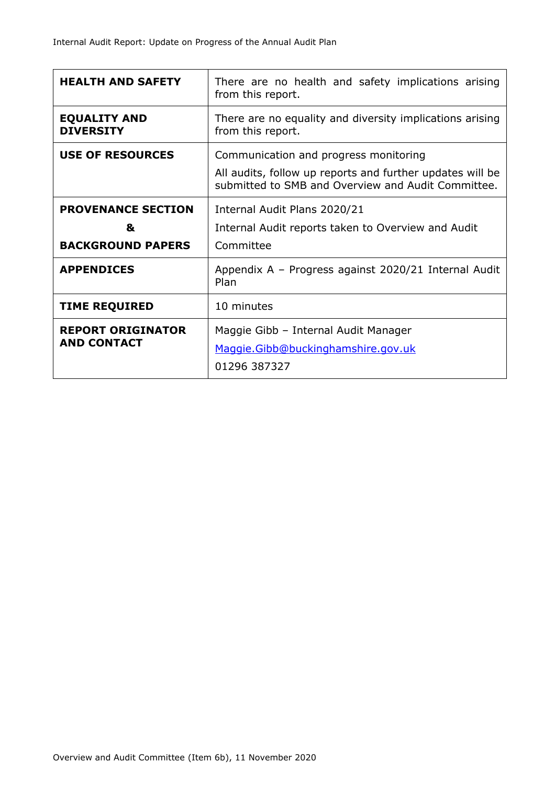| <b>HEALTH AND SAFETY</b>                                   | There are no health and safety implications arising<br>from this report.                                                                                 |  |  |
|------------------------------------------------------------|----------------------------------------------------------------------------------------------------------------------------------------------------------|--|--|
| <b>EQUALITY AND</b><br><b>DIVERSITY</b>                    | There are no equality and diversity implications arising<br>from this report.                                                                            |  |  |
| <b>USE OF RESOURCES</b>                                    | Communication and progress monitoring<br>All audits, follow up reports and further updates will be<br>submitted to SMB and Overview and Audit Committee. |  |  |
| <b>PROVENANCE SECTION</b><br>&<br><b>BACKGROUND PAPERS</b> | Internal Audit Plans 2020/21<br>Internal Audit reports taken to Overview and Audit<br>Committee                                                          |  |  |
| <b>APPENDICES</b>                                          | Appendix A - Progress against 2020/21 Internal Audit<br>Plan                                                                                             |  |  |
| <b>TIME REQUIRED</b>                                       | 10 minutes                                                                                                                                               |  |  |
| <b>REPORT ORIGINATOR</b><br><b>AND CONTACT</b>             | Maggie Gibb - Internal Audit Manager<br>Maggie.Gibb@buckinghamshire.gov.uk<br>01296 387327                                                               |  |  |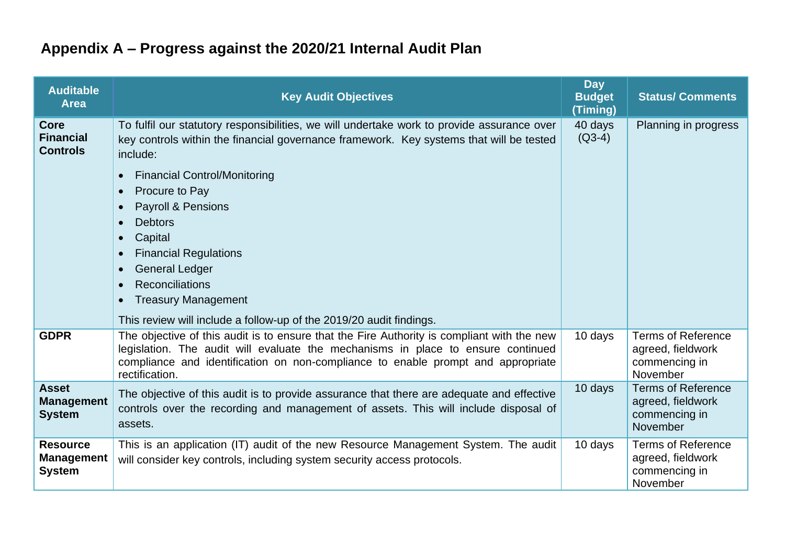## **Appendix A – Progress against the 2020/21 Internal Audit Plan**

| <b>Auditable</b><br><b>Area</b>                       | <b>Key Audit Objectives</b>                                                                                                                                                                                                                                                                                                                                                                                                                                                                                                                        | <b>Day</b><br><b>Budget</b><br>(Timing) | <b>Status/ Comments</b>                                                     |
|-------------------------------------------------------|----------------------------------------------------------------------------------------------------------------------------------------------------------------------------------------------------------------------------------------------------------------------------------------------------------------------------------------------------------------------------------------------------------------------------------------------------------------------------------------------------------------------------------------------------|-----------------------------------------|-----------------------------------------------------------------------------|
| <b>Core</b><br><b>Financial</b><br><b>Controls</b>    | To fulfil our statutory responsibilities, we will undertake work to provide assurance over<br>key controls within the financial governance framework. Key systems that will be tested<br>include:<br><b>Financial Control/Monitoring</b><br>Procure to Pay<br>$\bullet$<br>Payroll & Pensions<br><b>Debtors</b><br>$\bullet$<br>Capital<br>$\bullet$<br><b>Financial Regulations</b><br><b>General Ledger</b><br>$\bullet$<br>Reconciliations<br><b>Treasury Management</b><br>This review will include a follow-up of the 2019/20 audit findings. | 40 days<br>$(Q3-4)$                     | Planning in progress                                                        |
| <b>GDPR</b>                                           | The objective of this audit is to ensure that the Fire Authority is compliant with the new<br>legislation. The audit will evaluate the mechanisms in place to ensure continued<br>compliance and identification on non-compliance to enable prompt and appropriate<br>rectification.                                                                                                                                                                                                                                                               | 10 days                                 | <b>Terms of Reference</b><br>agreed, fieldwork<br>commencing in<br>November |
| <b>Asset</b><br><b>Management</b><br><b>System</b>    | The objective of this audit is to provide assurance that there are adequate and effective<br>controls over the recording and management of assets. This will include disposal of<br>assets.                                                                                                                                                                                                                                                                                                                                                        | 10 days                                 | <b>Terms of Reference</b><br>agreed, fieldwork<br>commencing in<br>November |
| <b>Resource</b><br><b>Management</b><br><b>System</b> | This is an application (IT) audit of the new Resource Management System. The audit<br>will consider key controls, including system security access protocols.                                                                                                                                                                                                                                                                                                                                                                                      | 10 days                                 | <b>Terms of Reference</b><br>agreed, fieldwork<br>commencing in<br>November |